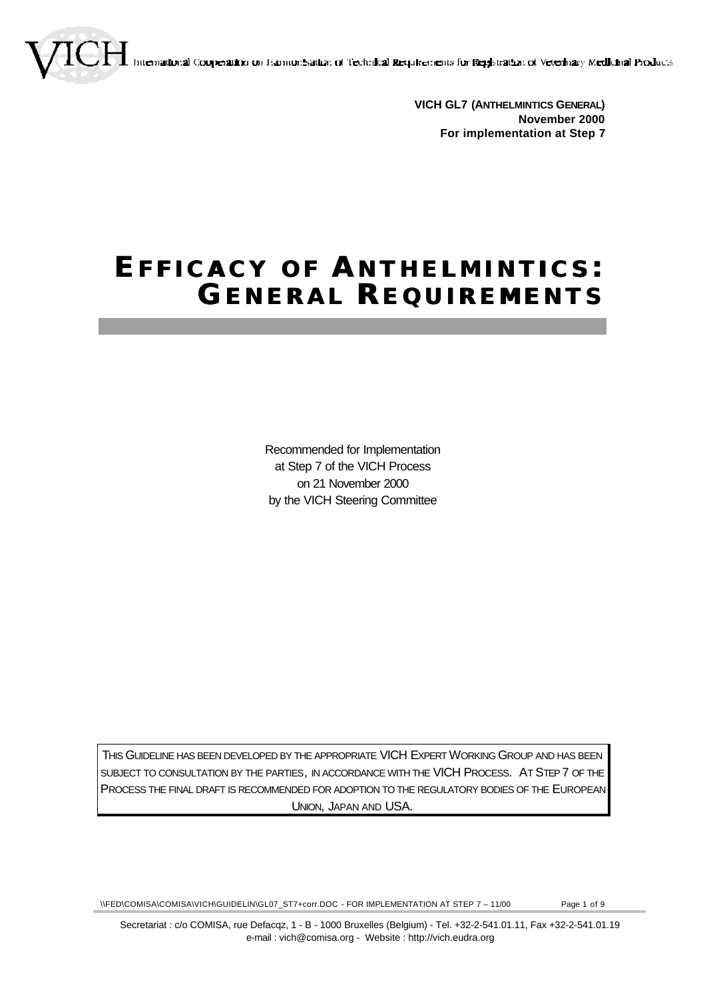emational Cooperation on Examunisation of Technical Requirements for Registration of Veterinary Medicinal Products

**VICH GL7 (ANTHELMINTICS GENERAL) November 2000 For implementation at Step 7**

# **EFFICACY OF A NTHELMINTICS : GENERAL REQUIREMENTS**

Recommended for Implementation at Step 7 of the VICH Process on 21 November 2000 by the VICH Steering Committee

THIS GUIDELINE HAS BEEN DEVELOPED BY THE APPROPRIATE VICH EXPERT WORKING GROUP AND HAS BEEN SUBJECT TO CONSULTATION BY THE PARTIES, IN ACCORDANCE WITH THE VICH PROCESS. AT STEP 7 OF THE PROCESS THE FINAL DRAFT IS RECOMMENDED FOR ADOPTION TO THE REGULATORY BODIES OF THE EUROPEAN UNION, JAPAN AND USA.

\\FED\COMISA\COMISA\VICH\GUIDELIN\GL07\_ST7+corr.DOC - FOR IMPLEMENTATION AT STEP 7 – 11/00 Page 1 of 9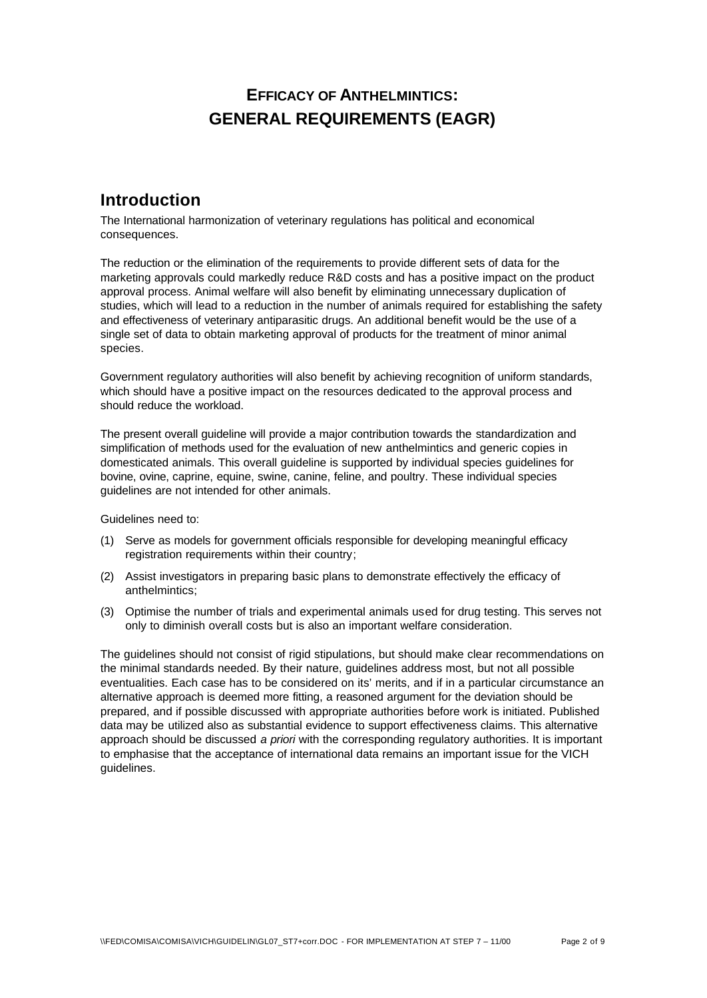# **EFFICACY OF ANTHELMINTICS: GENERAL REQUIREMENTS (EAGR)**

# **Introduction**

The International harmonization of veterinary regulations has political and economical consequences.

The reduction or the elimination of the requirements to provide different sets of data for the marketing approvals could markedly reduce R&D costs and has a positive impact on the product approval process. Animal welfare will also benefit by eliminating unnecessary duplication of studies, which will lead to a reduction in the number of animals required for establishing the safety and effectiveness of veterinary antiparasitic drugs. An additional benefit would be the use of a single set of data to obtain marketing approval of products for the treatment of minor animal species.

Government regulatory authorities will also benefit by achieving recognition of uniform standards, which should have a positive impact on the resources dedicated to the approval process and should reduce the workload.

The present overall guideline will provide a major contribution towards the standardization and simplification of methods used for the evaluation of new anthelmintics and generic copies in domesticated animals. This overall guideline is supported by individual species guidelines for bovine, ovine, caprine, equine, swine, canine, feline, and poultry. These individual species guidelines are not intended for other animals.

Guidelines need to:

- (1) Serve as models for government officials responsible for developing meaningful efficacy registration requirements within their country;
- (2) Assist investigators in preparing basic plans to demonstrate effectively the efficacy of anthelmintics;
- (3) Optimise the number of trials and experimental animals used for drug testing. This serves not only to diminish overall costs but is also an important welfare consideration.

The guidelines should not consist of rigid stipulations, but should make clear recommendations on the minimal standards needed. By their nature, guidelines address most, but not all possible eventualities. Each case has to be considered on its' merits, and if in a particular circumstance an alternative approach is deemed more fitting, a reasoned argument for the deviation should be prepared, and if possible discussed with appropriate authorities before work is initiated. Published data may be utilized also as substantial evidence to support effectiveness claims. This alternative approach should be discussed *a priori* with the corresponding regulatory authorities. It is important to emphasise that the acceptance of international data remains an important issue for the VICH guidelines.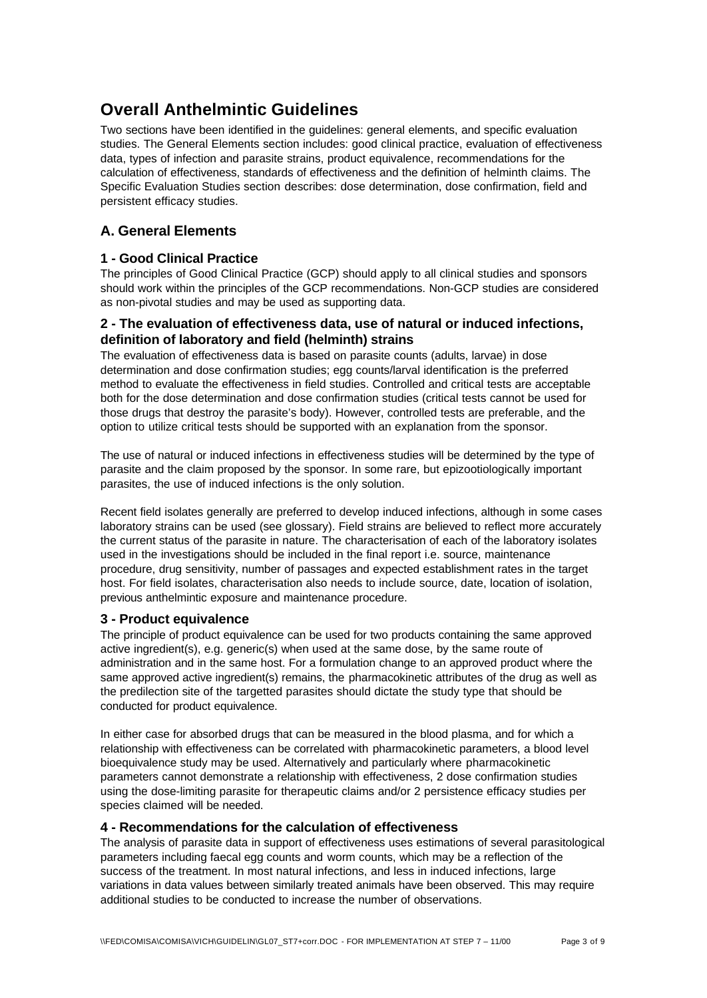# **Overall Anthelmintic Guidelines**

Two sections have been identified in the guidelines: general elements, and specific evaluation studies. The General Elements section includes: good clinical practice, evaluation of effectiveness data, types of infection and parasite strains, product equivalence, recommendations for the calculation of effectiveness, standards of effectiveness and the definition of helminth claims. The Specific Evaluation Studies section describes: dose determination, dose confirmation, field and persistent efficacy studies.

# **A. General Elements**

# **1 - Good Clinical Practice**

The principles of Good Clinical Practice (GCP) should apply to all clinical studies and sponsors should work within the principles of the GCP recommendations. Non-GCP studies are considered as non-pivotal studies and may be used as supporting data.

## **2 - The evaluation of effectiveness data, use of natural or induced infections, definition of laboratory and field (helminth) strains**

The evaluation of effectiveness data is based on parasite counts (adults, larvae) in dose determination and dose confirmation studies; egg counts/larval identification is the preferred method to evaluate the effectiveness in field studies. Controlled and critical tests are acceptable both for the dose determination and dose confirmation studies (critical tests cannot be used for those drugs that destroy the parasite's body). However, controlled tests are preferable, and the option to utilize critical tests should be supported with an explanation from the sponsor.

The use of natural or induced infections in effectiveness studies will be determined by the type of parasite and the claim proposed by the sponsor. In some rare, but epizootiologically important parasites, the use of induced infections is the only solution.

Recent field isolates generally are preferred to develop induced infections, although in some cases laboratory strains can be used (see glossary). Field strains are believed to reflect more accurately the current status of the parasite in nature. The characterisation of each of the laboratory isolates used in the investigations should be included in the final report i.e. source, maintenance procedure, drug sensitivity, number of passages and expected establishment rates in the target host. For field isolates, characterisation also needs to include source, date, location of isolation, previous anthelmintic exposure and maintenance procedure.

# **3 - Product equivalence**

The principle of product equivalence can be used for two products containing the same approved active ingredient(s), e.g. generic(s) when used at the same dose, by the same route of administration and in the same host. For a formulation change to an approved product where the same approved active ingredient(s) remains, the pharmacokinetic attributes of the drug as well as the predilection site of the targetted parasites should dictate the study type that should be conducted for product equivalence.

In either case for absorbed drugs that can be measured in the blood plasma, and for which a relationship with effectiveness can be correlated with pharmacokinetic parameters, a blood level bioequivalence study may be used. Alternatively and particularly where pharmacokinetic parameters cannot demonstrate a relationship with effectiveness, 2 dose confirmation studies using the dose-limiting parasite for therapeutic claims and/or 2 persistence efficacy studies per species claimed will be needed.

# **4 - Recommendations for the calculation of effectiveness**

The analysis of parasite data in support of effectiveness uses estimations of several parasitological parameters including faecal egg counts and worm counts, which may be a reflection of the success of the treatment. In most natural infections, and less in induced infections, large variations in data values between similarly treated animals have been observed. This may require additional studies to be conducted to increase the number of observations.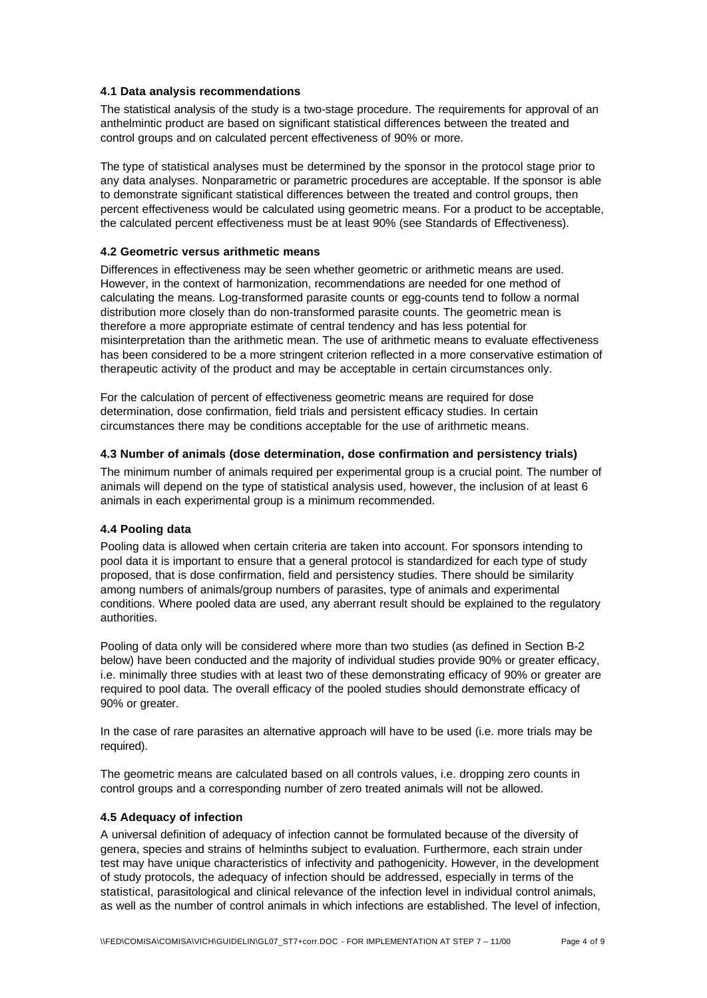#### **4.1 Data analysis recommendations**

The statistical analysis of the study is a two-stage procedure. The requirements for approval of an anthelmintic product are based on significant statistical differences between the treated and control groups and on calculated percent effectiveness of 90% or more.

The type of statistical analyses must be determined by the sponsor in the protocol stage prior to any data analyses. Nonparametric or parametric procedures are acceptable. If the sponsor is able to demonstrate significant statistical differences between the treated and control groups, then percent effectiveness would be calculated using geometric means. For a product to be acceptable, the calculated percent effectiveness must be at least 90% (see Standards of Effectiveness).

# **4.2 Geometric versus arithmetic means**

Differences in effectiveness may be seen whether geometric or arithmetic means are used. However, in the context of harmonization, recommendations are needed for one method of calculating the means. Log-transformed parasite counts or egg-counts tend to follow a normal distribution more closely than do non-transformed parasite counts. The geometric mean is therefore a more appropriate estimate of central tendency and has less potential for misinterpretation than the arithmetic mean. The use of arithmetic means to evaluate effectiveness has been considered to be a more stringent criterion reflected in a more conservative estimation of therapeutic activity of the product and may be acceptable in certain circumstances only.

For the calculation of percent of effectiveness geometric means are required for dose determination, dose confirmation, field trials and persistent efficacy studies. In certain circumstances there may be conditions acceptable for the use of arithmetic means.

#### **4.3 Number of animals (dose determination, dose confirmation and persistency trials)**

The minimum number of animals required per experimental group is a crucial point. The number of animals will depend on the type of statistical analysis used, however, the inclusion of at least 6 animals in each experimental group is a minimum recommended.

#### **4.4 Pooling data**

Pooling data is allowed when certain criteria are taken into account. For sponsors intending to pool data it is important to ensure that a general protocol is standardized for each type of study proposed, that is dose confirmation, field and persistency studies. There should be similarity among numbers of animals/group numbers of parasites, type of animals and experimental conditions. Where pooled data are used, any aberrant result should be explained to the regulatory authorities.

Pooling of data only will be considered where more than two studies (as defined in Section B-2 below) have been conducted and the majority of individual studies provide 90% or greater efficacy, i.e. minimally three studies with at least two of these demonstrating efficacy of 90% or greater are required to pool data. The overall efficacy of the pooled studies should demonstrate efficacy of 90% or greater.

In the case of rare parasites an alternative approach will have to be used (i.e. more trials may be required).

The geometric means are calculated based on all controls values, i.e. dropping zero counts in control groups and a corresponding number of zero treated animals will not be allowed.

#### **4.5 Adequacy of infection**

A universal definition of adequacy of infection cannot be formulated because of the diversity of genera, species and strains of helminths subject to evaluation. Furthermore, each strain under test may have unique characteristics of infectivity and pathogenicity. However, in the development of study protocols, the adequacy of infection should be addressed, especially in terms of the statistical, parasitological and clinical relevance of the infection level in individual control animals, as well as the number of control animals in which infections are established. The level of infection,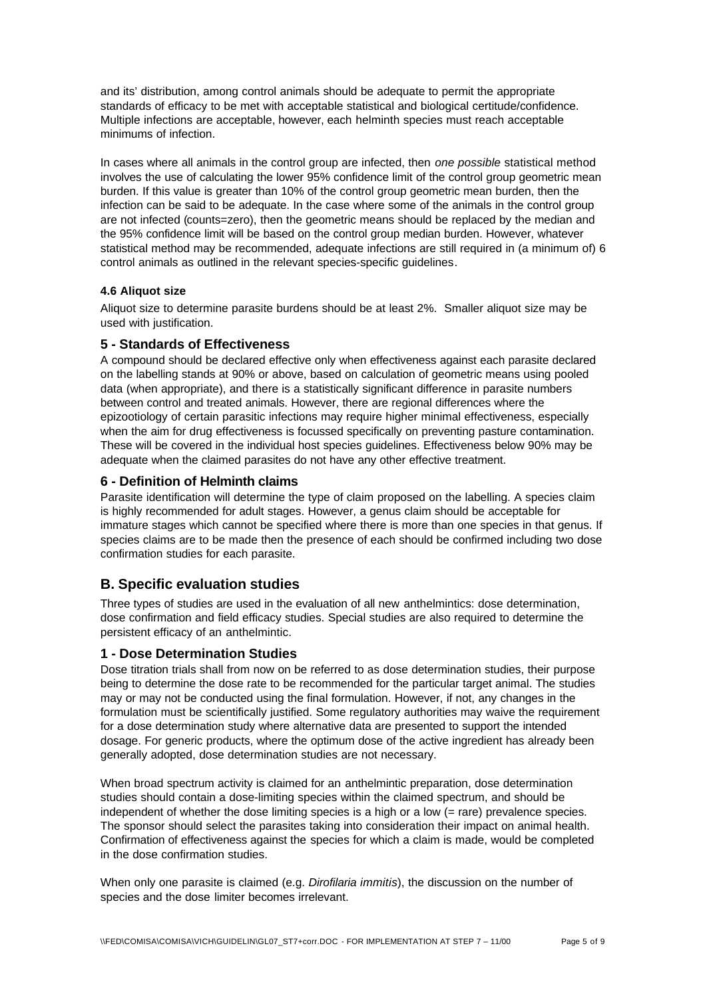and its' distribution, among control animals should be adequate to permit the appropriate standards of efficacy to be met with acceptable statistical and biological certitude/confidence. Multiple infections are acceptable, however, each helminth species must reach acceptable minimums of infection.

In cases where all animals in the control group are infected, then *one possible* statistical method involves the use of calculating the lower 95% confidence limit of the control group geometric mean burden. If this value is greater than 10% of the control group geometric mean burden, then the infection can be said to be adequate. In the case where some of the animals in the control group are not infected (counts=zero), then the geometric means should be replaced by the median and the 95% confidence limit will be based on the control group median burden. However, whatever statistical method may be recommended, adequate infections are still required in (a minimum of) 6 control animals as outlined in the relevant species-specific guidelines.

#### **4.6 Aliquot size**

Aliquot size to determine parasite burdens should be at least 2%. Smaller aliquot size may be used with justification.

#### **5 - Standards of Effectiveness**

A compound should be declared effective only when effectiveness against each parasite declared on the labelling stands at 90% or above, based on calculation of geometric means using pooled data (when appropriate), and there is a statistically significant difference in parasite numbers between control and treated animals. However, there are regional differences where the epizootiology of certain parasitic infections may require higher minimal effectiveness, especially when the aim for drug effectiveness is focussed specifically on preventing pasture contamination. These will be covered in the individual host species guidelines. Effectiveness below 90% may be adequate when the claimed parasites do not have any other effective treatment.

### **6 - Definition of Helminth claims**

Parasite identification will determine the type of claim proposed on the labelling. A species claim is highly recommended for adult stages. However, a genus claim should be acceptable for immature stages which cannot be specified where there is more than one species in that genus. If species claims are to be made then the presence of each should be confirmed including two dose confirmation studies for each parasite.

# **B. Specific evaluation studies**

Three types of studies are used in the evaluation of all new anthelmintics: dose determination, dose confirmation and field efficacy studies. Special studies are also required to determine the persistent efficacy of an anthelmintic.

#### **1 - Dose Determination Studies**

Dose titration trials shall from now on be referred to as dose determination studies, their purpose being to determine the dose rate to be recommended for the particular target animal. The studies may or may not be conducted using the final formulation. However, if not, any changes in the formulation must be scientifically justified. Some regulatory authorities may waive the requirement for a dose determination study where alternative data are presented to support the intended dosage. For generic products, where the optimum dose of the active ingredient has already been generally adopted, dose determination studies are not necessary.

When broad spectrum activity is claimed for an anthelmintic preparation, dose determination studies should contain a dose-limiting species within the claimed spectrum, and should be independent of whether the dose limiting species is a high or a low (= rare) prevalence species. The sponsor should select the parasites taking into consideration their impact on animal health. Confirmation of effectiveness against the species for which a claim is made, would be completed in the dose confirmation studies.

When only one parasite is claimed (e.g. *Dirofilaria immitis*), the discussion on the number of species and the dose limiter becomes irrelevant.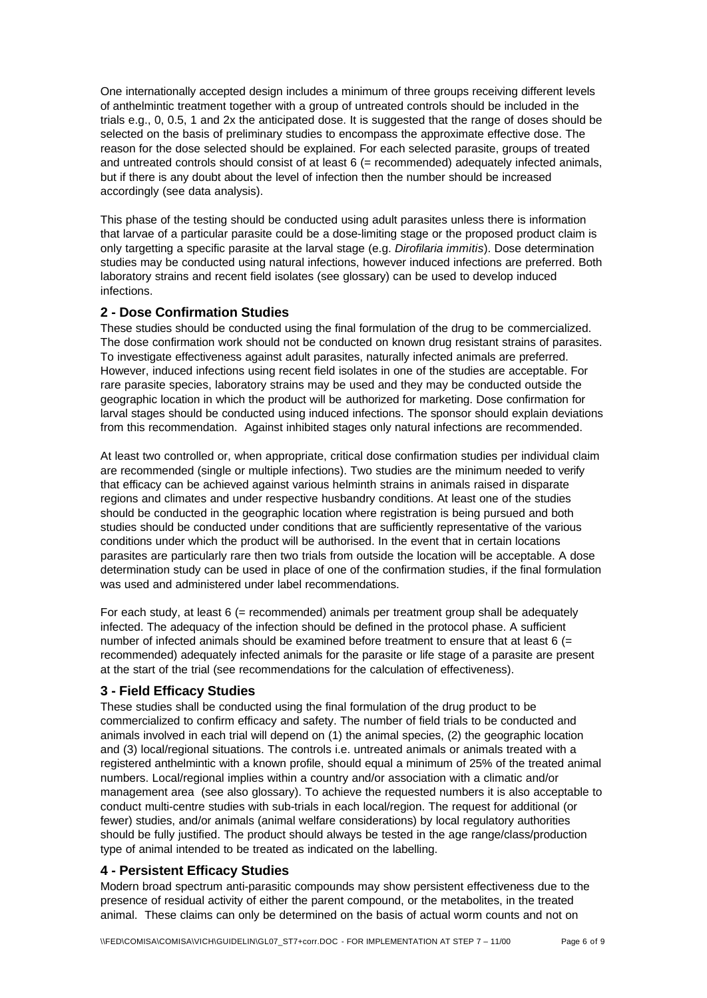One internationally accepted design includes a minimum of three groups receiving different levels of anthelmintic treatment together with a group of untreated controls should be included in the trials e.g., 0, 0.5, 1 and 2x the anticipated dose. It is suggested that the range of doses should be selected on the basis of preliminary studies to encompass the approximate effective dose. The reason for the dose selected should be explained. For each selected parasite, groups of treated and untreated controls should consist of at least 6 (= recommended) adequately infected animals, but if there is any doubt about the level of infection then the number should be increased accordingly (see data analysis).

This phase of the testing should be conducted using adult parasites unless there is information that larvae of a particular parasite could be a dose-limiting stage or the proposed product claim is only targetting a specific parasite at the larval stage (e.g. *Dirofilaria immitis*). Dose determination studies may be conducted using natural infections, however induced infections are preferred. Both laboratory strains and recent field isolates (see glossary) can be used to develop induced infections.

### **2 - Dose Confirmation Studies**

These studies should be conducted using the final formulation of the drug to be commercialized. The dose confirmation work should not be conducted on known drug resistant strains of parasites. To investigate effectiveness against adult parasites, naturally infected animals are preferred. However, induced infections using recent field isolates in one of the studies are acceptable. For rare parasite species, laboratory strains may be used and they may be conducted outside the geographic location in which the product will be authorized for marketing. Dose confirmation for larval stages should be conducted using induced infections. The sponsor should explain deviations from this recommendation. Against inhibited stages only natural infections are recommended.

At least two controlled or, when appropriate, critical dose confirmation studies per individual claim are recommended (single or multiple infections). Two studies are the minimum needed to verify that efficacy can be achieved against various helminth strains in animals raised in disparate regions and climates and under respective husbandry conditions. At least one of the studies should be conducted in the geographic location where registration is being pursued and both studies should be conducted under conditions that are sufficiently representative of the various conditions under which the product will be authorised. In the event that in certain locations parasites are particularly rare then two trials from outside the location will be acceptable. A dose determination study can be used in place of one of the confirmation studies, if the final formulation was used and administered under label recommendations.

For each study, at least 6 (= recommended) animals per treatment group shall be adequately infected. The adequacy of the infection should be defined in the protocol phase. A sufficient number of infected animals should be examined before treatment to ensure that at least 6 (= recommended) adequately infected animals for the parasite or life stage of a parasite are present at the start of the trial (see recommendations for the calculation of effectiveness).

#### **3 - Field Efficacy Studies**

These studies shall be conducted using the final formulation of the drug product to be commercialized to confirm efficacy and safety. The number of field trials to be conducted and animals involved in each trial will depend on (1) the animal species, (2) the geographic location and (3) local/regional situations. The controls i.e. untreated animals or animals treated with a registered anthelmintic with a known profile, should equal a minimum of 25% of the treated animal numbers. Local/regional implies within a country and/or association with a climatic and/or management area (see also glossary). To achieve the requested numbers it is also acceptable to conduct multi-centre studies with sub-trials in each local/region. The request for additional (or fewer) studies, and/or animals (animal welfare considerations) by local regulatory authorities should be fully justified. The product should always be tested in the age range/class/production type of animal intended to be treated as indicated on the labelling.

#### **4 - Persistent Efficacy Studies**

Modern broad spectrum anti-parasitic compounds may show persistent effectiveness due to the presence of residual activity of either the parent compound, or the metabolites, in the treated animal. These claims can only be determined on the basis of actual worm counts and not on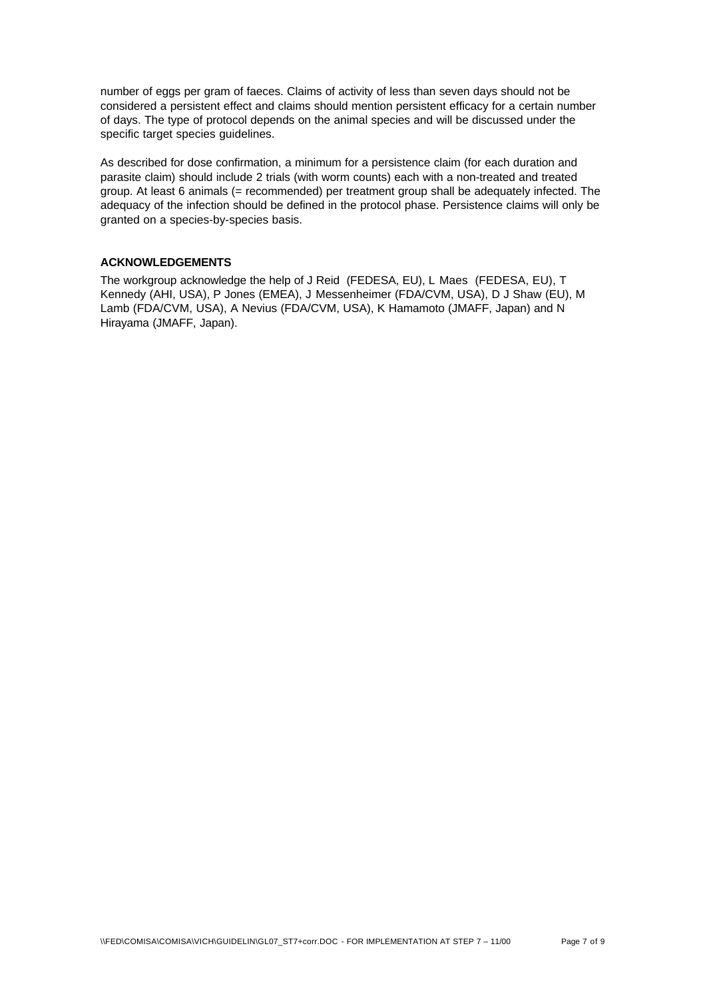number of eggs per gram of faeces. Claims of activity of less than seven days should not be considered a persistent effect and claims should mention persistent efficacy for a certain number of days. The type of protocol depends on the animal species and will be discussed under the specific target species guidelines.

As described for dose confirmation, a minimum for a persistence claim (for each duration and parasite claim) should include 2 trials (with worm counts) each with a non-treated and treated group. At least 6 animals (= recommended) per treatment group shall be adequately infected. The adequacy of the infection should be defined in the protocol phase. Persistence claims will only be granted on a species-by-species basis.

#### **ACKNOWLEDGEMENTS**

The workgroup acknowledge the help of J Reid (FEDESA, EU), L Maes (FEDESA, EU), T Kennedy (AHI, USA), P Jones (EMEA), J Messenheimer (FDA/CVM, USA), D J Shaw (EU), M Lamb (FDA/CVM, USA), A Nevius (FDA/CVM, USA), K Hamamoto (JMAFF, Japan) and N Hirayama (JMAFF, Japan).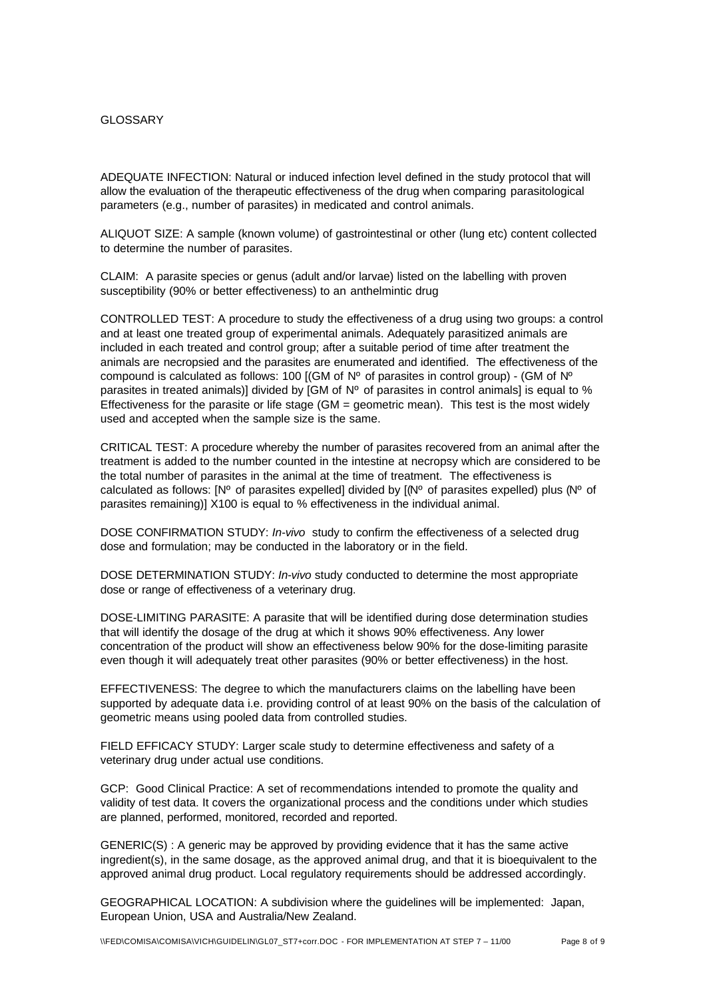#### **GLOSSARY**

ADEQUATE INFECTION: Natural or induced infection level defined in the study protocol that will allow the evaluation of the therapeutic effectiveness of the drug when comparing parasitological parameters (e.g., number of parasites) in medicated and control animals.

ALIQUOT SIZE: A sample (known volume) of gastrointestinal or other (lung etc) content collected to determine the number of parasites.

CLAIM: A parasite species or genus (adult and/or larvae) listed on the labelling with proven susceptibility (90% or better effectiveness) to an anthelmintic drug

CONTROLLED TEST: A procedure to study the effectiveness of a drug using two groups: a control and at least one treated group of experimental animals. Adequately parasitized animals are included in each treated and control group; after a suitable period of time after treatment the animals are necropsied and the parasites are enumerated and identified. The effectiveness of the compound is calculated as follows: 100 [(GM of  $N^{\circ}$  of parasites in control group) - (GM of  $N^{\circ}$ parasites in treated animals)] divided by [GM of Nº of parasites in control animals] is equal to % Effectiveness for the parasite or life stage (GM = geometric mean). This test is the most widely used and accepted when the sample size is the same.

CRITICAL TEST: A procedure whereby the number of parasites recovered from an animal after the treatment is added to the number counted in the intestine at necropsy which are considered to be the total number of parasites in the animal at the time of treatment. The effectiveness is calculated as follows:  $[N^{\circ}$  of parasites expelled] divided by  $[N^{\circ}$  of parasites expelled) plus  $(N^{\circ}$  of parasites remaining)] X100 is equal to % effectiveness in the individual animal.

DOSE CONFIRMATION STUDY: *In-vivo* study to confirm the effectiveness of a selected drug dose and formulation; may be conducted in the laboratory or in the field.

DOSE DETERMINATION STUDY: *In-vivo* study conducted to determine the most appropriate dose or range of effectiveness of a veterinary drug.

DOSE-LIMITING PARASITE: A parasite that will be identified during dose determination studies that will identify the dosage of the drug at which it shows 90% effectiveness. Any lower concentration of the product will show an effectiveness below 90% for the dose-limiting parasite even though it will adequately treat other parasites (90% or better effectiveness) in the host.

EFFECTIVENESS: The degree to which the manufacturers claims on the labelling have been supported by adequate data i.e. providing control of at least 90% on the basis of the calculation of geometric means using pooled data from controlled studies.

FIELD EFFICACY STUDY: Larger scale study to determine effectiveness and safety of a veterinary drug under actual use conditions.

GCP: Good Clinical Practice: A set of recommendations intended to promote the quality and validity of test data. It covers the organizational process and the conditions under which studies are planned, performed, monitored, recorded and reported.

GENERIC(S) : A generic may be approved by providing evidence that it has the same active ingredient(s), in the same dosage, as the approved animal drug, and that it is bioequivalent to the approved animal drug product. Local regulatory requirements should be addressed accordingly.

GEOGRAPHICAL LOCATION: A subdivision where the guidelines will be implemented: Japan, European Union, USA and Australia/New Zealand.